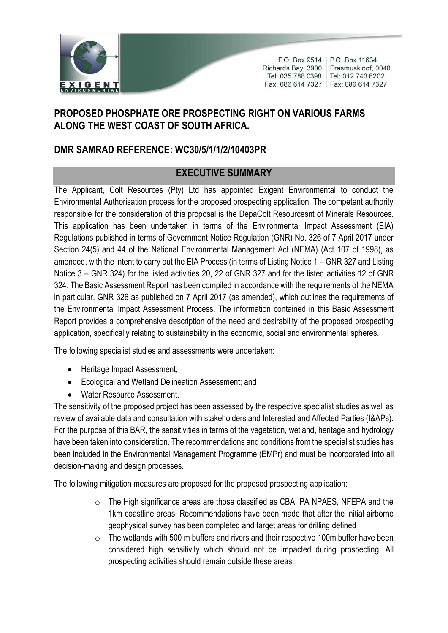

P.O. Box 9514 | P.O. Box 11634 Richards Bay, 3900 | Erasmuskloof, 0048 Tel: 035 788 0398 Tel: 012 743 6202 Fax: 086 614 7327 | Fax: 086 614 7327

## **PROPOSED PHOSPHATE ORE PROSPECTING RIGHT ON VARIOUS FARMS ALONG THE WEST COAST OF SOUTH AFRICA.**

## **DMR SAMRAD REFERENCE: WC30/5/1/1/2/10403PR**

## **EXECUTIVE SUMMARY**

The Applicant, Colt Resources (Pty) Ltd has appointed Exigent Environmental to conduct the Environmental Authorisation process for the proposed prospecting application. The competent authority responsible for the consideration of this proposal is the DepaColt Resourcesnt of Minerals Resources. This application has been undertaken in terms of the Environmental Impact Assessment (EIA) Regulations published in terms of Government Notice Regulation (GNR) No. 326 of 7 April 2017 under Section 24(5) and 44 of the National Environmental Management Act (NEMA) (Act 107 of 1998), as amended, with the intent to carry out the EIA Process (in terms of Listing Notice 1 – GNR 327 and Listing Notice 3 – GNR 324) for the listed activities 20, 22 of GNR 327 and for the listed activities 12 of GNR 324. The Basic Assessment Report has been compiled in accordance with the requirements of the NEMA in particular, GNR 326 as published on 7 April 2017 (as amended), which outlines the requirements of the Environmental Impact Assessment Process. The information contained in this Basic Assessment Report provides a comprehensive description of the need and desirability of the proposed prospecting application, specifically relating to sustainability in the economic, social and environmental spheres.

The following specialist studies and assessments were undertaken:

- Heritage Impact Assessment;
- Ecological and Wetland Delineation Assessment; and
- Water Resource Assessment.

The sensitivity of the proposed project has been assessed by the respective specialist studies as well as review of available data and consultation with stakeholders and Interested and Affected Parties (I&APs). For the purpose of this BAR, the sensitivities in terms of the vegetation, wetland, heritage and hydrology have been taken into consideration. The recommendations and conditions from the specialist studies has been included in the Environmental Management Programme (EMPr) and must be incorporated into all decision-making and design processes.

The following mitigation measures are proposed for the proposed prospecting application:

- o The High significance areas are those classified as CBA, PA NPAES, NFEPA and the 1km coastline areas. Recommendations have been made that after the initial airborne geophysical survey has been completed and target areas for drilling defined
- $\circ$  The wetlands with 500 m buffers and rivers and their respective 100m buffer have been considered high sensitivity which should not be impacted during prospecting. All prospecting activities should remain outside these areas.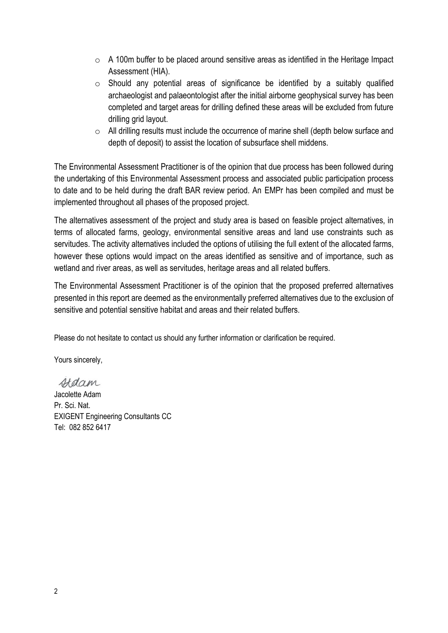- $\circ$  A 100m buffer to be placed around sensitive areas as identified in the Heritage Impact Assessment (HIA).
- o Should any potential areas of significance be identified by a suitably qualified archaeologist and palaeontologist after the initial airborne geophysical survey has been completed and target areas for drilling defined these areas will be excluded from future drilling grid layout.
- $\circ$  All drilling results must include the occurrence of marine shell (depth below surface and depth of deposit) to assist the location of subsurface shell middens.

The Environmental Assessment Practitioner is of the opinion that due process has been followed during the undertaking of this Environmental Assessment process and associated public participation process to date and to be held during the draft BAR review period. An EMPr has been compiled and must be implemented throughout all phases of the proposed project.

The alternatives assessment of the project and study area is based on feasible project alternatives, in terms of allocated farms, geology, environmental sensitive areas and land use constraints such as servitudes. The activity alternatives included the options of utilising the full extent of the allocated farms, however these options would impact on the areas identified as sensitive and of importance, such as wetland and river areas, as well as servitudes, heritage areas and all related buffers.

The Environmental Assessment Practitioner is of the opinion that the proposed preferred alternatives presented in this report are deemed as the environmentally preferred alternatives due to the exclusion of sensitive and potential sensitive habitat and areas and their related buffers.

Please do not hesitate to contact us should any further information or clarification be required.

Yours sincerely,

Hdam

Jacolette Adam Pr. Sci. Nat. EXIGENT Engineering Consultants CC Tel: 082 852 6417